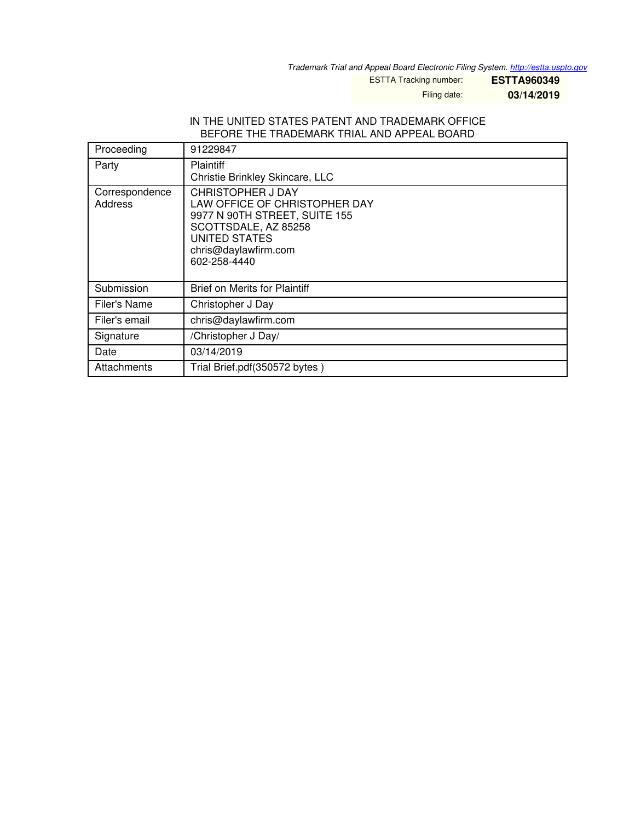*Trademark Trial and Appeal Board Electronic Filing System. <http://estta.uspto.gov>*

ESTTA Tracking number: **ESTTA960349**

Filing date: **03/14/2019**

#### IN THE UNITED STATES PATENT AND TRADEMARK OFFICE BEFORE THE TRADEMARK TRIAL AND APPEAL BOARD

| Proceeding                       | 91229847                                                                                                                                                                           |
|----------------------------------|------------------------------------------------------------------------------------------------------------------------------------------------------------------------------------|
| Party                            | <b>Plaintiff</b><br>Christie Brinkley Skincare, LLC                                                                                                                                |
| Correspondence<br><b>Address</b> | <b>CHRISTOPHER J DAY</b><br>LAW OFFICE OF CHRISTOPHER DAY<br>9977 N 90TH STREET, SUITE 155<br>SCOTTSDALE, AZ 85258<br><b>UNITED STATES</b><br>chris@daylawfirm.com<br>602-258-4440 |
| Submission                       | <b>Brief on Merits for Plaintiff</b>                                                                                                                                               |
| Filer's Name                     | Christopher J Day                                                                                                                                                                  |
| Filer's email                    | chris@daylawfirm.com                                                                                                                                                               |
| Signature                        | /Christopher J Day/                                                                                                                                                                |
| Date                             | 03/14/2019                                                                                                                                                                         |
| Attachments                      | Trial Brief.pdf(350572 bytes)                                                                                                                                                      |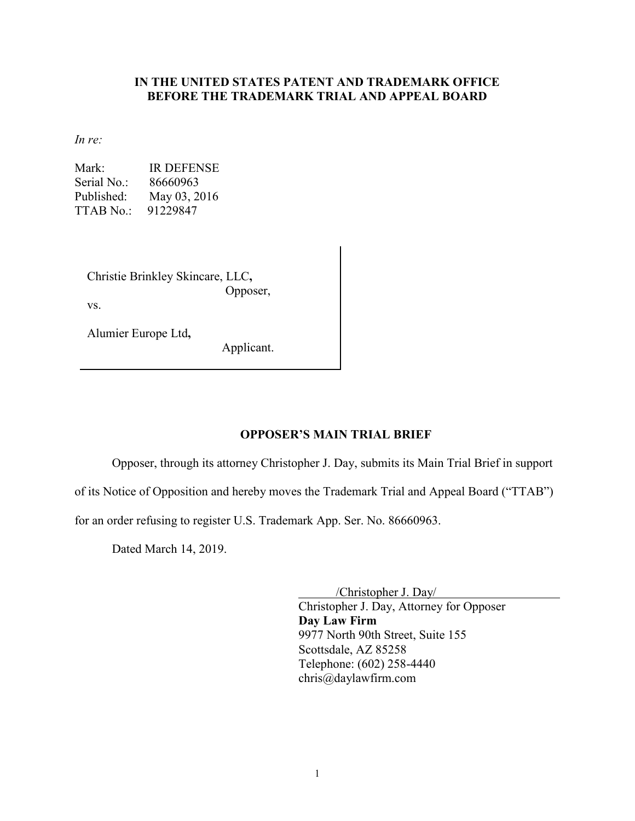### **IN THE UNITED STATES PATENT AND TRADEMARK OFFICE BEFORE THE TRADEMARK TRIAL AND APPEAL BOARD**

*In re:*

Mark: IR DEFENSE Serial No.: 86660963 Published: May 03, 2016 TTAB No.: 91229847

Christie Brinkley Skincare, LLC**,**  Opposer, vs.

Alumier Europe Ltd**,** 

Applicant.

### **OPPOSER'S MAIN TRIAL BRIEF**

Opposer, through its attorney Christopher J. Day, submits its Main Trial Brief in support

of its Notice of Opposition and hereby moves the Trademark Trial and Appeal Board ("TTAB")

for an order refusing to register U.S. Trademark App. Ser. No. 86660963.

Dated March 14, 2019.

 /Christopher J. Day/ Christopher J. Day, Attorney for Opposer **Day Law Firm**  9977 North 90th Street, Suite 155 Scottsdale, AZ 85258 Telephone: (602) 258-4440 chris@daylawfirm.com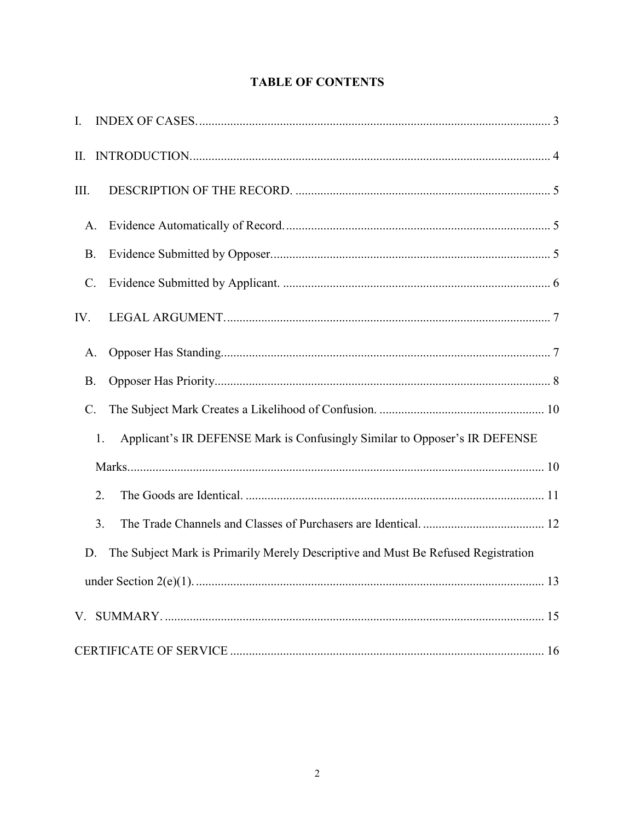| Ι.                                                                               |                 |                                                                                   |  |  |  |
|----------------------------------------------------------------------------------|-----------------|-----------------------------------------------------------------------------------|--|--|--|
| П.                                                                               |                 |                                                                                   |  |  |  |
| Ш.                                                                               |                 |                                                                                   |  |  |  |
|                                                                                  | A.              |                                                                                   |  |  |  |
| <b>B.</b>                                                                        |                 |                                                                                   |  |  |  |
|                                                                                  | $\mathcal{C}$ . |                                                                                   |  |  |  |
| IV.                                                                              |                 |                                                                                   |  |  |  |
|                                                                                  | A.              |                                                                                   |  |  |  |
|                                                                                  | <b>B.</b>       |                                                                                   |  |  |  |
| $\mathcal{C}$ .                                                                  |                 |                                                                                   |  |  |  |
| Applicant's IR DEFENSE Mark is Confusingly Similar to Opposer's IR DEFENSE<br>1. |                 |                                                                                   |  |  |  |
|                                                                                  |                 |                                                                                   |  |  |  |
|                                                                                  | 2.              |                                                                                   |  |  |  |
|                                                                                  | 3.              |                                                                                   |  |  |  |
|                                                                                  | D.              | The Subject Mark is Primarily Merely Descriptive and Must Be Refused Registration |  |  |  |
|                                                                                  |                 |                                                                                   |  |  |  |
|                                                                                  |                 |                                                                                   |  |  |  |
|                                                                                  |                 |                                                                                   |  |  |  |

# **TABLE OF CONTENTS**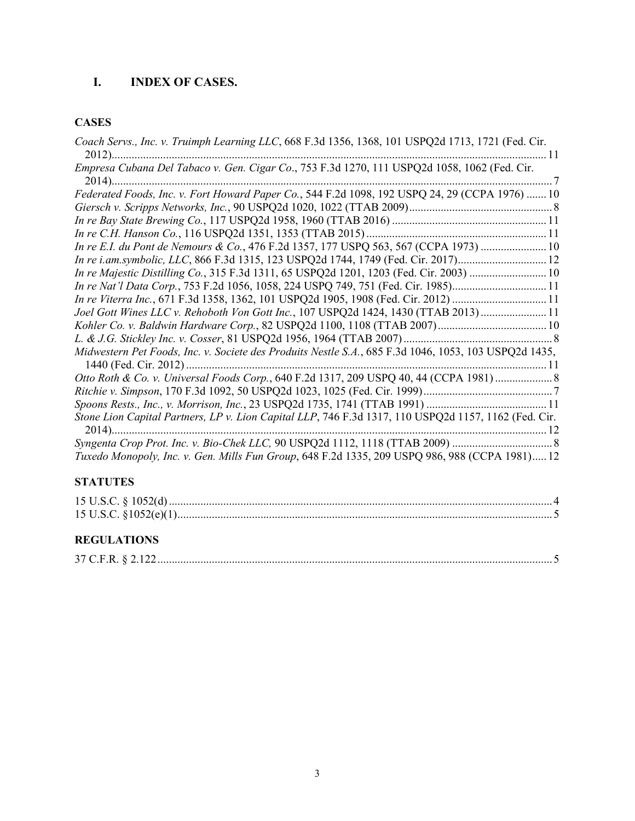# **I. INDEX OF CASES.**

## **CASES**

| Coach Servs., Inc. v. Truimph Learning LLC, 668 F.3d 1356, 1368, 101 USPQ2d 1713, 1721 (Fed. Cir.<br>. 11 |
|-----------------------------------------------------------------------------------------------------------|
| Empresa Cubana Del Tabaco v. Gen. Cigar Co., 753 F.3d 1270, 111 USPQ2d 1058, 1062 (Fed. Cir.              |
| Federated Foods, Inc. v. Fort Howard Paper Co., 544 F.2d 1098, 192 USPQ 24, 29 (CCPA 1976)  10            |
|                                                                                                           |
|                                                                                                           |
|                                                                                                           |
| In re E.I. du Pont de Nemours & Co., 476 F.2d 1357, 177 USPQ 563, 567 (CCPA 1973)  10                     |
| In re i.am.symbolic, LLC, 866 F.3d 1315, 123 USPQ2d 1744, 1749 (Fed. Cir. 2017) 12                        |
| In re Majestic Distilling Co., 315 F.3d 1311, 65 USPQ2d 1201, 1203 (Fed. Cir. 2003)  10                   |
| In re Nat'l Data Corp., 753 F.2d 1056, 1058, 224 USPQ 749, 751 (Fed. Cir. 1985)11                         |
| In re Viterra Inc., 671 F.3d 1358, 1362, 101 USPQ2d 1905, 1908 (Fed. Cir. 2012) 11                        |
| Joel Gott Wines LLC v. Rehoboth Von Gott Inc., 107 USPQ2d 1424, 1430 (TTAB 2013)  11                      |
|                                                                                                           |
|                                                                                                           |
| Midwestern Pet Foods, Inc. v. Societe des Produits Nestle S.A., 685 F.3d 1046, 1053, 103 USPQ2d 1435,     |
|                                                                                                           |
| Otto Roth & Co. v. Universal Foods Corp., 640 F.2d 1317, 209 USPQ 40, 44 (CCPA 1981)                      |
|                                                                                                           |
|                                                                                                           |
| Stone Lion Capital Partners, LP v. Lion Capital LLP, 746 F.3d 1317, 110 USPQ2d 1157, 1162 (Fed. Cir.      |
|                                                                                                           |
|                                                                                                           |
| Tuxedo Monopoly, Inc. v. Gen. Mills Fun Group, 648 F.2d 1335, 209 USPQ 986, 988 (CCPA 1981) 12            |
|                                                                                                           |

# **STATUTES**

### **REGULATIONS**

| $27 \cap F$ D $82122$ |  |  |
|-----------------------|--|--|
|                       |  |  |
|                       |  |  |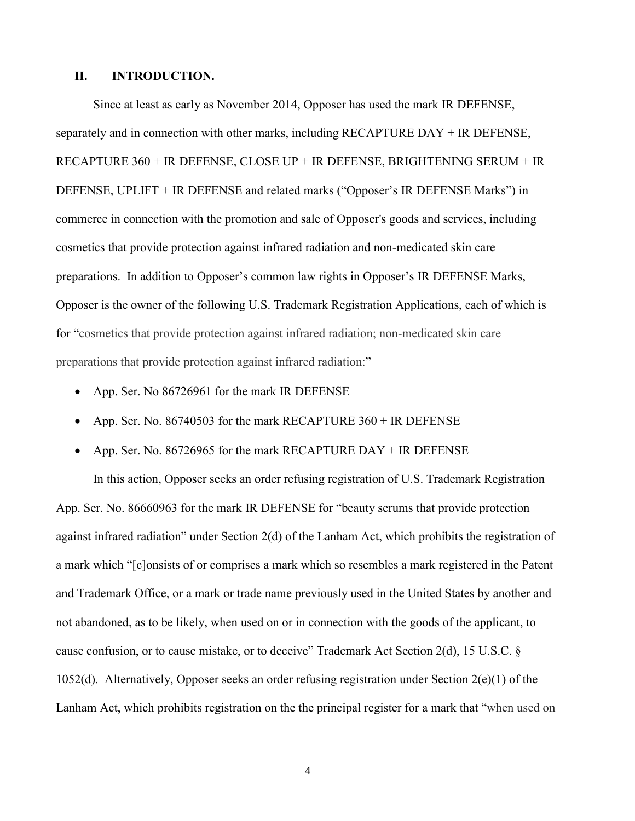#### **II. INTRODUCTION.**

Since at least as early as November 2014, Opposer has used the mark IR DEFENSE, separately and in connection with other marks, including RECAPTURE DAY + IR DEFENSE, RECAPTURE 360 + IR DEFENSE, CLOSE UP + IR DEFENSE, BRIGHTENING SERUM + IR DEFENSE, UPLIFT + IR DEFENSE and related marks ("Opposer's IR DEFENSE Marks") in commerce in connection with the promotion and sale of Opposer's goods and services, including cosmetics that provide protection against infrared radiation and non-medicated skin care preparations. In addition to Opposer's common law rights in Opposer's IR DEFENSE Marks, Opposer is the owner of the following U.S. Trademark Registration Applications, each of which is for "cosmetics that provide protection against infrared radiation; non-medicated skin care preparations that provide protection against infrared radiation:"

- App. Ser. No 86726961 for the mark IR DEFENSE
- App. Ser. No. 86740503 for the mark RECAPTURE 360 + IR DEFENSE
- App. Ser. No. 86726965 for the mark RECAPTURE DAY + IR DEFENSE

 In this action, Opposer seeks an order refusing registration of U.S. Trademark Registration App. Ser. No. 86660963 for the mark IR DEFENSE for "beauty serums that provide protection against infrared radiation" under Section 2(d) of the Lanham Act, which prohibits the registration of a mark which "[c]onsists of or comprises a mark which so resembles a mark registered in the Patent and Trademark Office, or a mark or trade name previously used in the United States by another and not abandoned, as to be likely, when used on or in connection with the goods of the applicant, to cause confusion, or to cause mistake, or to deceive" Trademark Act Section 2(d), 15 U.S.C. § 1052(d). Alternatively, Opposer seeks an order refusing registration under Section 2(e)(1) of the Lanham Act, which prohibits registration on the the principal register for a mark that "when used on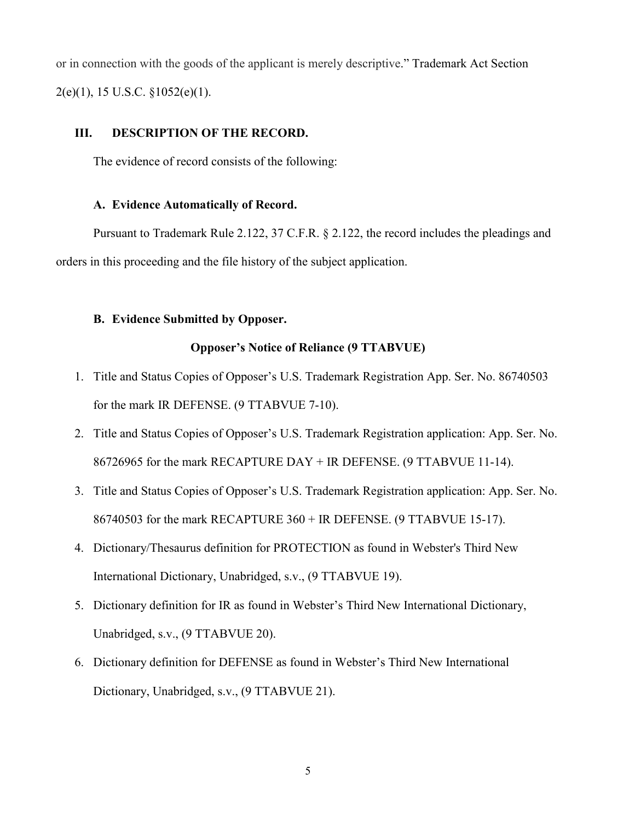or in connection with the goods of the applicant is merely descriptive." Trademark Act Section  $2(e)(1)$ , 15 U.S.C.  $\S 1052(e)(1)$ .

### **III. DESCRIPTION OF THE RECORD.**

The evidence of record consists of the following:

#### **A. Evidence Automatically of Record.**

 Pursuant to Trademark Rule 2.122, 37 C.F.R. § 2.122, the record includes the pleadings and orders in this proceeding and the file history of the subject application.

### **B. Evidence Submitted by Opposer.**

#### **Opposer's Notice of Reliance (9 TTABVUE)**

- 1. Title and Status Copies of Opposer's U.S. Trademark Registration App. Ser. No. 86740503 for the mark IR DEFENSE. (9 TTABVUE 7-10).
- 2. Title and Status Copies of Opposer's U.S. Trademark Registration application: App. Ser. No. 86726965 for the mark RECAPTURE DAY + IR DEFENSE. (9 TTABVUE 11-14).
- 3. Title and Status Copies of Opposer's U.S. Trademark Registration application: App. Ser. No. 86740503 for the mark RECAPTURE 360 + IR DEFENSE. (9 TTABVUE 15-17).
- 4. Dictionary/Thesaurus definition for PROTECTION as found in Webster's Third New International Dictionary, Unabridged, s.v., (9 TTABVUE 19).
- 5. Dictionary definition for IR as found in Webster's Third New International Dictionary, Unabridged, s.v., (9 TTABVUE 20).
- 6. Dictionary definition for DEFENSE as found in Webster's Third New International Dictionary, Unabridged, s.v., (9 TTABVUE 21).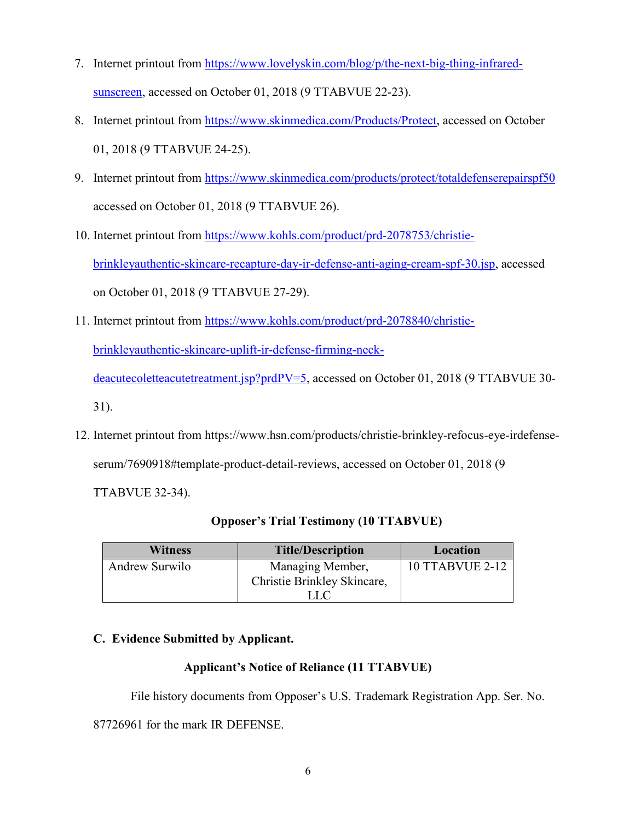- 7. Internet printout from [https://www.lovelyskin.com/blog/p/the-next-big-thing-infrared](https://www.lovelyskin.com/blog/p/the-next-big-thing-infrared-sunscreen)[sunscreen,](https://www.lovelyskin.com/blog/p/the-next-big-thing-infrared-sunscreen) accessed on October 01, 2018 (9 TTABVUE 22-23).
- 8. Internet printout from [https://www.skinmedica.com/Products/Protect,](https://www.skinmedica.com/Products/Protect) accessed on October 01, 2018 (9 TTABVUE 24-25).
- 9. Internet printout from<https://www.skinmedica.com/products/protect/totaldefenserepairspf50> accessed on October 01, 2018 (9 TTABVUE 26).
- 10. Internet printout from [https://www.kohls.com/product/prd-2078753/christie](https://www.kohls.com/product/prd-2078753/christie-brinkleyauthentic-skincare-recapture-day-ir-defense-anti-aging-cream-spf-30.jsp)[brinkleyauthentic-skincare-recapture-day-ir-defense-anti-aging-cream-spf-30.jsp,](https://www.kohls.com/product/prd-2078753/christie-brinkleyauthentic-skincare-recapture-day-ir-defense-anti-aging-cream-spf-30.jsp) accessed on October 01, 2018 (9 TTABVUE 27-29).
- 11. Internet printout from [https://www.kohls.com/product/prd-2078840/christie-](https://www.kohls.com/product/prd-2078840/christie-brinkleyauthentic-skincare-uplift-ir-defense-firming-neck-deacutecoletteacutetreatment.jsp?prdPV=5)

[brinkleyauthentic-skincare-uplift-ir-defense-firming-neck-](https://www.kohls.com/product/prd-2078840/christie-brinkleyauthentic-skincare-uplift-ir-defense-firming-neck-deacutecoletteacutetreatment.jsp?prdPV=5)

[deacutecoletteacutetreatment.jsp?prdPV=5,](https://www.kohls.com/product/prd-2078840/christie-brinkleyauthentic-skincare-uplift-ir-defense-firming-neck-deacutecoletteacutetreatment.jsp?prdPV=5) accessed on October 01, 2018 (9 TTABVUE 30-

31).

12. Internet printout from https://www.hsn.com/products/christie-brinkley-refocus-eye-irdefenseserum/7690918#template-product-detail-reviews, accessed on October 01, 2018 (9

TTABVUE 32-34).

| <b>Witness</b> | <b>Title/Description</b>    | Location               |
|----------------|-----------------------------|------------------------|
| Andrew Surwilo | Managing Member,            | <b>10 TTABVUE 2-12</b> |
|                | Christie Brinkley Skincare, |                        |
|                |                             |                        |

## **Opposer's Trial Testimony (10 TTABVUE)**

### **C. Evidence Submitted by Applicant.**

### **Applicant's Notice of Reliance (11 TTABVUE)**

File history documents from Opposer's U.S. Trademark Registration App. Ser. No.

87726961 for the mark IR DEFENSE.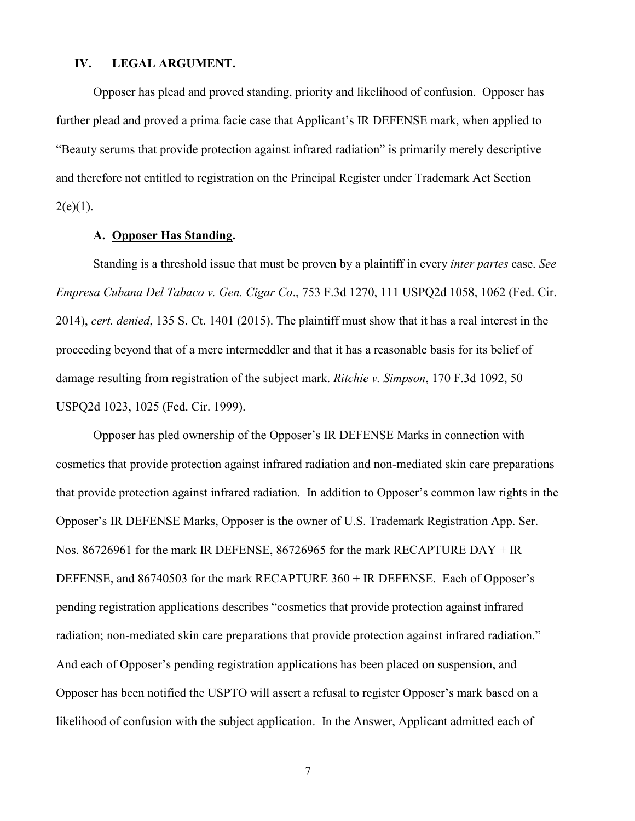### **IV. LEGAL ARGUMENT.**

 Opposer has plead and proved standing, priority and likelihood of confusion. Opposer has further plead and proved a prima facie case that Applicant's IR DEFENSE mark, when applied to "Beauty serums that provide protection against infrared radiation" is primarily merely descriptive and therefore not entitled to registration on the Principal Register under Trademark Act Section  $2(e)(1)$ .

### **A. Opposer Has Standing.**

 Standing is a threshold issue that must be proven by a plaintiff in every *inter partes* case. *See Empresa Cubana Del Tabaco v. Gen. Cigar Co*., 753 F.3d 1270, 111 USPQ2d 1058, 1062 (Fed. Cir. 2014), *cert. denied*, 135 S. Ct. 1401 (2015). The plaintiff must show that it has a real interest in the proceeding beyond that of a mere intermeddler and that it has a reasonable basis for its belief of damage resulting from registration of the subject mark. *Ritchie v. Simpson*, 170 F.3d 1092, 50 USPQ2d 1023, 1025 (Fed. Cir. 1999).

 Opposer has pled ownership of the Opposer's IR DEFENSE Marks in connection with cosmetics that provide protection against infrared radiation and non-mediated skin care preparations that provide protection against infrared radiation. In addition to Opposer's common law rights in the Opposer's IR DEFENSE Marks, Opposer is the owner of U.S. Trademark Registration App. Ser. Nos. 86726961 for the mark IR DEFENSE, 86726965 for the mark RECAPTURE DAY + IR DEFENSE, and 86740503 for the mark RECAPTURE 360 + IR DEFENSE. Each of Opposer's pending registration applications describes "cosmetics that provide protection against infrared radiation; non-mediated skin care preparations that provide protection against infrared radiation." And each of Opposer's pending registration applications has been placed on suspension, and Opposer has been notified the USPTO will assert a refusal to register Opposer's mark based on a likelihood of confusion with the subject application. In the Answer, Applicant admitted each of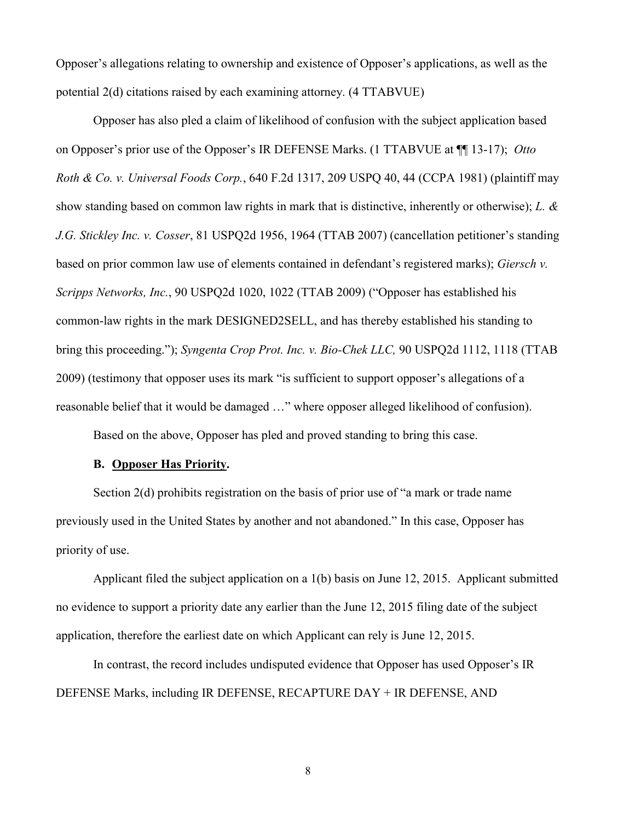Opposer's allegations relating to ownership and existence of Opposer's applications, as well as the potential 2(d) citations raised by each examining attorney. (4 TTABVUE)

 Opposer has also pled a claim of likelihood of confusion with the subject application based on Opposer's prior use of the Opposer's IR DEFENSE Marks. (1 TTABVUE at ¶¶ 13-17); *Otto Roth & Co. v. Universal Foods Corp.*, 640 F.2d 1317, 209 USPQ 40, 44 (CCPA 1981) (plaintiff may show standing based on common law rights in mark that is distinctive, inherently or otherwise); *L. & J.G. Stickley Inc. v. Cosser*, 81 USPQ2d 1956, 1964 (TTAB 2007) (cancellation petitioner's standing based on prior common law use of elements contained in defendant's registered marks); *Giersch v. Scripps Networks, Inc.*, 90 USPQ2d 1020, 1022 (TTAB 2009) ("Opposer has established his common-law rights in the mark DESIGNED2SELL, and has thereby established his standing to bring this proceeding."); *Syngenta Crop Prot. Inc. v. Bio-Chek LLC,* 90 USPQ2d 1112, 1118 (TTAB 2009) (testimony that opposer uses its mark "is sufficient to support opposer's allegations of a reasonable belief that it would be damaged …" where opposer alleged likelihood of confusion).

Based on the above, Opposer has pled and proved standing to bring this case.

### **B. Opposer Has Priority.**

 Section 2(d) prohibits registration on the basis of prior use of "a mark or trade name previously used in the United States by another and not abandoned." In this case, Opposer has priority of use.

 Applicant filed the subject application on a 1(b) basis on June 12, 2015. Applicant submitted no evidence to support a priority date any earlier than the June 12, 2015 filing date of the subject application, therefore the earliest date on which Applicant can rely is June 12, 2015.

 In contrast, the record includes undisputed evidence that Opposer has used Opposer's IR DEFENSE Marks, including IR DEFENSE, RECAPTURE DAY + IR DEFENSE, AND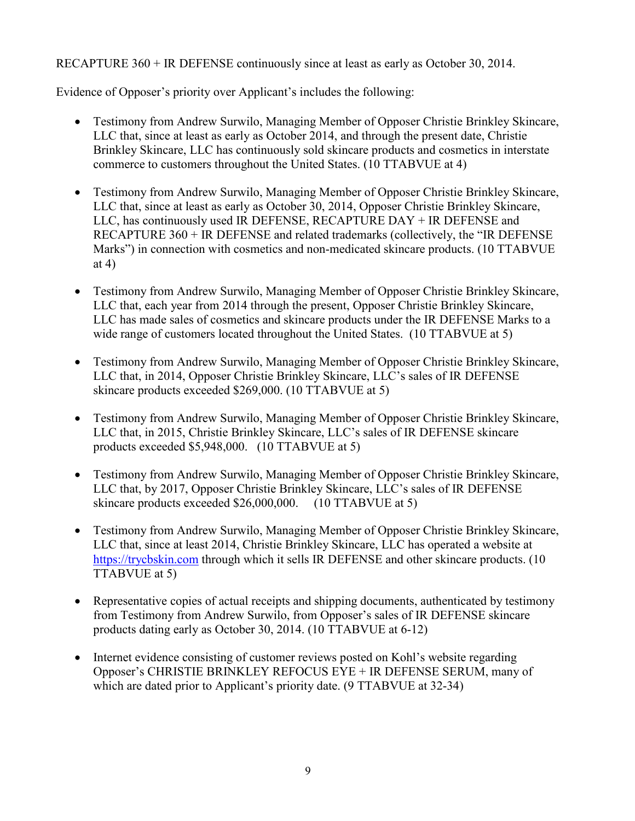RECAPTURE 360 + IR DEFENSE continuously since at least as early as October 30, 2014.

Evidence of Opposer's priority over Applicant's includes the following:

- Testimony from Andrew Surwilo, Managing Member of Opposer Christie Brinkley Skincare, LLC that, since at least as early as October 2014, and through the present date, Christie Brinkley Skincare, LLC has continuously sold skincare products and cosmetics in interstate commerce to customers throughout the United States. (10 TTABVUE at 4)
- Testimony from Andrew Surwilo, Managing Member of Opposer Christie Brinkley Skincare, LLC that, since at least as early as October 30, 2014, Opposer Christie Brinkley Skincare, LLC, has continuously used IR DEFENSE, RECAPTURE DAY + IR DEFENSE and RECAPTURE 360 + IR DEFENSE and related trademarks (collectively, the "IR DEFENSE Marks") in connection with cosmetics and non-medicated skincare products. (10 TTABVUE at 4)
- Testimony from Andrew Surwilo, Managing Member of Opposer Christie Brinkley Skincare, LLC that, each year from 2014 through the present, Opposer Christie Brinkley Skincare, LLC has made sales of cosmetics and skincare products under the IR DEFENSE Marks to a wide range of customers located throughout the United States. (10 TTABVUE at 5)
- Testimony from Andrew Surwilo, Managing Member of Opposer Christie Brinkley Skincare, LLC that, in 2014, Opposer Christie Brinkley Skincare, LLC's sales of IR DEFENSE skincare products exceeded \$269,000. (10 TTABVUE at 5)
- Testimony from Andrew Surwilo, Managing Member of Opposer Christie Brinkley Skincare, LLC that, in 2015, Christie Brinkley Skincare, LLC's sales of IR DEFENSE skincare products exceeded \$5,948,000. (10 TTABVUE at 5)
- Testimony from Andrew Surwilo, Managing Member of Opposer Christie Brinkley Skincare, LLC that, by 2017, Opposer Christie Brinkley Skincare, LLC's sales of IR DEFENSE skincare products exceeded \$26,000,000. (10 TTABVUE at 5)
- Testimony from Andrew Surwilo, Managing Member of Opposer Christie Brinkley Skincare, LLC that, since at least 2014, Christie Brinkley Skincare, LLC has operated a website at [https://trycbskin.com](https://trycbskin.com/) through which it sells IR DEFENSE and other skincare products. (10) TTABVUE at 5)
- Representative copies of actual receipts and shipping documents, authenticated by testimony from Testimony from Andrew Surwilo, from Opposer's sales of IR DEFENSE skincare products dating early as October 30, 2014. (10 TTABVUE at 6-12)
- Internet evidence consisting of customer reviews posted on Kohl's website regarding Opposer's CHRISTIE BRINKLEY REFOCUS EYE + IR DEFENSE SERUM, many of which are dated prior to Applicant's priority date. (9 TTABVUE at 32-34)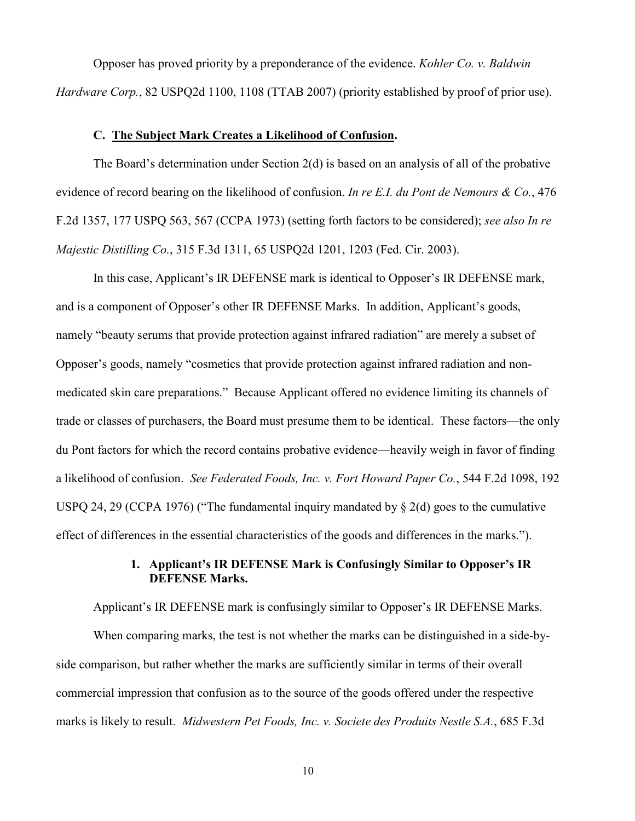Opposer has proved priority by a preponderance of the evidence. *Kohler Co. v. Baldwin Hardware Corp.*, 82 USPQ2d 1100, 1108 (TTAB 2007) (priority established by proof of prior use).

#### **C. The Subject Mark Creates a Likelihood of Confusion.**

The Board's determination under Section 2(d) is based on an analysis of all of the probative evidence of record bearing on the likelihood of confusion. *In re E.I. du Pont de Nemours & Co.*, 476 F.2d 1357, 177 USPQ 563, 567 (CCPA 1973) (setting forth factors to be considered); *see also In re Majestic Distilling Co.*, 315 F.3d 1311, 65 USPQ2d 1201, 1203 (Fed. Cir. 2003).

 In this case, Applicant's IR DEFENSE mark is identical to Opposer's IR DEFENSE mark, and is a component of Opposer's other IR DEFENSE Marks. In addition, Applicant's goods, namely "beauty serums that provide protection against infrared radiation" are merely a subset of Opposer's goods, namely "cosmetics that provide protection against infrared radiation and nonmedicated skin care preparations." Because Applicant offered no evidence limiting its channels of trade or classes of purchasers, the Board must presume them to be identical. These factors—the only du Pont factors for which the record contains probative evidence—heavily weigh in favor of finding a likelihood of confusion. *See Federated Foods, Inc. v. Fort Howard Paper Co.*, 544 F.2d 1098, 192 USPQ 24, 29 (CCPA 1976) ("The fundamental inquiry mandated by § 2(d) goes to the cumulative effect of differences in the essential characteristics of the goods and differences in the marks.").

### **1. Applicant's IR DEFENSE Mark is Confusingly Similar to Opposer's IR DEFENSE Marks.**

Applicant's IR DEFENSE mark is confusingly similar to Opposer's IR DEFENSE Marks.

When comparing marks, the test is not whether the marks can be distinguished in a side-byside comparison, but rather whether the marks are sufficiently similar in terms of their overall commercial impression that confusion as to the source of the goods offered under the respective marks is likely to result. *Midwestern Pet Foods, Inc. v. Societe des Produits Nestle S.A.*, 685 F.3d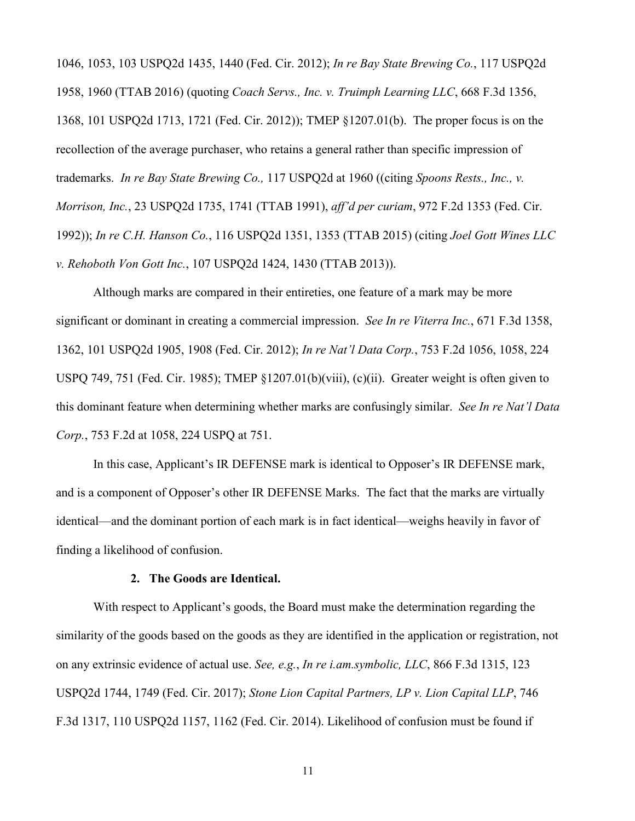1046, 1053, 103 USPQ2d 1435, 1440 (Fed. Cir. 2012); *In re Bay State Brewing Co.*, 117 USPQ2d 1958, 1960 (TTAB 2016) (quoting *Coach Servs., Inc. v. Truimph Learning LLC*, 668 F.3d 1356, 1368, 101 USPQ2d 1713, 1721 (Fed. Cir. 2012)); TMEP §1207.01(b). The proper focus is on the recollection of the average purchaser, who retains a general rather than specific impression of trademarks. *In re Bay State Brewing Co.,* 117 USPQ2d at 1960 ((citing *Spoons Rests., Inc., v. Morrison, Inc.*, 23 USPQ2d 1735, 1741 (TTAB 1991), *aff'd per curiam*, 972 F.2d 1353 (Fed. Cir. 1992)); *In re C.H. Hanson Co.*, 116 USPQ2d 1351, 1353 (TTAB 2015) (citing *Joel Gott Wines LLC v. Rehoboth Von Gott Inc.*, 107 USPQ2d 1424, 1430 (TTAB 2013)).

Although marks are compared in their entireties, one feature of a mark may be more significant or dominant in creating a commercial impression. *See In re Viterra Inc.*, 671 F.3d 1358, 1362, 101 USPQ2d 1905, 1908 (Fed. Cir. 2012); *In re Nat'l Data Corp.*, 753 F.2d 1056, 1058, 224 USPQ 749, 751 (Fed. Cir. 1985); TMEP §1207.01(b)(viii), (c)(ii). Greater weight is often given to this dominant feature when determining whether marks are confusingly similar. *See In re Nat'l Data Corp.*, 753 F.2d at 1058, 224 USPQ at 751.

In this case, Applicant's IR DEFENSE mark is identical to Opposer's IR DEFENSE mark, and is a component of Opposer's other IR DEFENSE Marks. The fact that the marks are virtually identical—and the dominant portion of each mark is in fact identical—weighs heavily in favor of finding a likelihood of confusion.

#### **2. The Goods are Identical.**

With respect to Applicant's goods, the Board must make the determination regarding the similarity of the goods based on the goods as they are identified in the application or registration, not on any extrinsic evidence of actual use. *See, e.g.*, *In re i.am.symbolic, LLC*, 866 F.3d 1315, 123 USPQ2d 1744, 1749 (Fed. Cir. 2017); *Stone Lion Capital Partners, LP v. Lion Capital LLP*, 746 F.3d 1317, 110 USPQ2d 1157, 1162 (Fed. Cir. 2014). Likelihood of confusion must be found if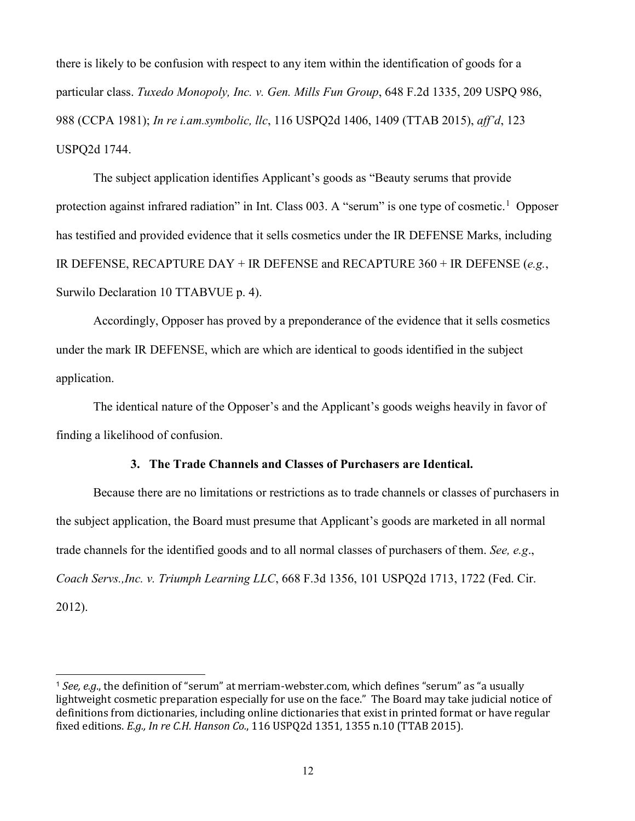there is likely to be confusion with respect to any item within the identification of goods for a particular class. *Tuxedo Monopoly, Inc. v. Gen. Mills Fun Group*, 648 F.2d 1335, 209 USPQ 986, 988 (CCPA 1981); *In re i.am.symbolic, llc*, 116 USPQ2d 1406, 1409 (TTAB 2015), *aff'd*, 123 USPQ2d 1744.

The subject application identifies Applicant's goods as "Beauty serums that provide protection against infrared radiation" in Int. Class 003. A "serum" is one type of cosmetic.<sup>[1](#page-12-0)</sup> Opposer has testified and provided evidence that it sells cosmetics under the IR DEFENSE Marks, including IR DEFENSE, RECAPTURE DAY + IR DEFENSE and RECAPTURE 360 + IR DEFENSE (*e.g.*, Surwilo Declaration 10 TTABVUE p. 4).

 Accordingly, Opposer has proved by a preponderance of the evidence that it sells cosmetics under the mark IR DEFENSE, which are which are identical to goods identified in the subject application.

The identical nature of the Opposer's and the Applicant's goods weighs heavily in favor of finding a likelihood of confusion.

### **3. The Trade Channels and Classes of Purchasers are Identical.**

Because there are no limitations or restrictions as to trade channels or classes of purchasers in the subject application, the Board must presume that Applicant's goods are marketed in all normal trade channels for the identified goods and to all normal classes of purchasers of them. *See, e.g*., *Coach Servs.,Inc. v. Triumph Learning LLC*, 668 F.3d 1356, 101 USPQ2d 1713, 1722 (Fed. Cir. 2012).

 $\overline{a}$ 

<span id="page-12-0"></span><sup>1</sup> *See, e.g*., the definition of "serum" at merriam-webster.com, which defines "serum" as "a usually lightweight cosmetic preparation especially for use on the face." The Board may take judicial notice of definitions from dictionaries, including online dictionaries that exist in printed format or have regular fixed editions. *E.g., In re C.H. Hanson Co.*, 116 USPQ2d 1351, 1355 n.10 (TTAB 2015).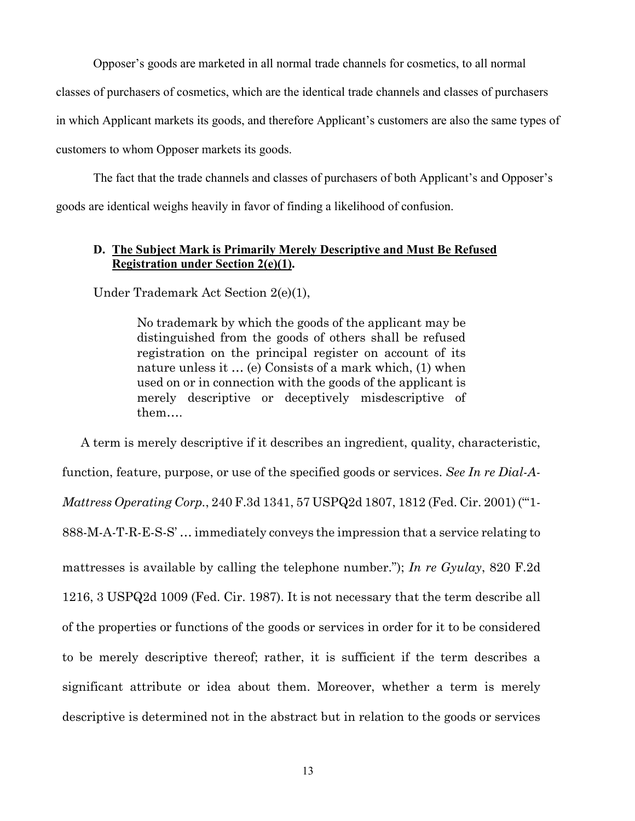Opposer's goods are marketed in all normal trade channels for cosmetics, to all normal

classes of purchasers of cosmetics, which are the identical trade channels and classes of purchasers

in which Applicant markets its goods, and therefore Applicant's customers are also the same types of

customers to whom Opposer markets its goods.

The fact that the trade channels and classes of purchasers of both Applicant's and Opposer's goods are identical weighs heavily in favor of finding a likelihood of confusion.

### **D. The Subject Mark is Primarily Merely Descriptive and Must Be Refused Registration under Section 2(e)(1).**

Under Trademark Act Section 2(e)(1),

No trademark by which the goods of the applicant may be distinguished from the goods of others shall be refused registration on the principal register on account of its nature unless it … (e) Consists of a mark which, (1) when used on or in connection with the goods of the applicant is merely descriptive or deceptively misdescriptive of them….

A term is merely descriptive if it describes an ingredient, quality, characteristic, function, feature, purpose, or use of the specified goods or services. *See In re Dial-A-Mattress Operating Corp.*, 240 F.3d 1341, 57 USPQ2d 1807, 1812 (Fed. Cir. 2001) ("'1- 888-M-A-T-R-E-S-S' … immediately conveys the impression that a service relating to mattresses is available by calling the telephone number."); *In re Gyulay*, 820 F.2d 1216, 3 USPQ2d 1009 (Fed. Cir. 1987). It is not necessary that the term describe all of the properties or functions of the goods or services in order for it to be considered to be merely descriptive thereof; rather, it is sufficient if the term describes a significant attribute or idea about them. Moreover, whether a term is merely descriptive is determined not in the abstract but in relation to the goods or services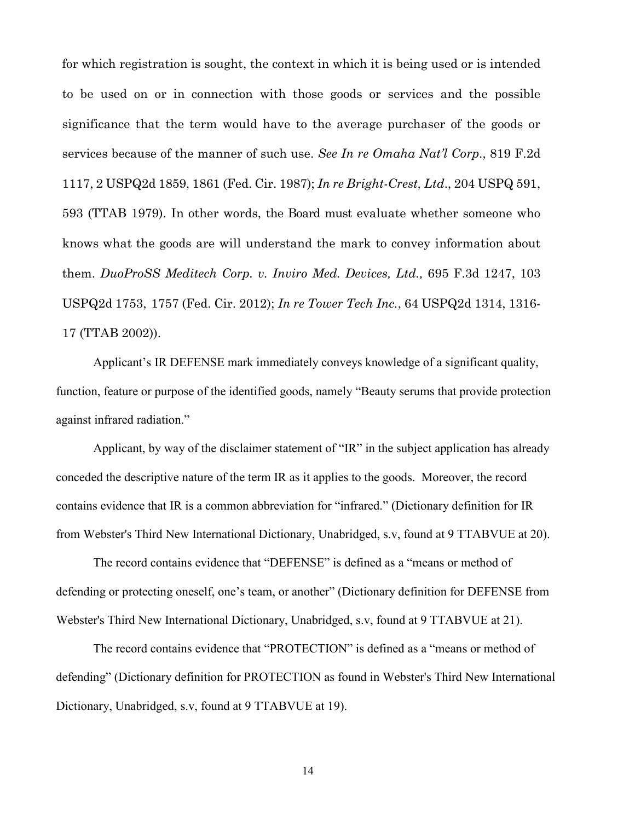for which registration is sought, the context in which it is being used or is intended to be used on or in connection with those goods or services and the possible significance that the term would have to the average purchaser of the goods or services because of the manner of such use. *See In re Omaha Nat'l Corp*., 819 F.2d 1117, 2 USPQ2d 1859, 1861 (Fed. Cir. 1987); *In re Bright-Crest, Ltd*., 204 USPQ 591, 593 (TTAB 1979). In other words, the Board must evaluate whether someone who knows what the goods are will understand the mark to convey information about them. *DuoProSS Meditech Corp. v. Inviro Med. Devices, Ltd.,* 695 F.3d 1247, 103 USPQ2d 1753, 1757 (Fed. Cir. 2012); *In re Tower Tech Inc.*, 64 USPQ2d 1314, 1316- 17 (TTAB 2002)).

Applicant's IR DEFENSE mark immediately conveys knowledge of a significant quality, function, feature or purpose of the identified goods, namely "Beauty serums that provide protection against infrared radiation."

Applicant, by way of the disclaimer statement of "IR" in the subject application has already conceded the descriptive nature of the term IR as it applies to the goods. Moreover, the record contains evidence that IR is a common abbreviation for "infrared." (Dictionary definition for IR from Webster's Third New International Dictionary, Unabridged, s.v, found at 9 TTABVUE at 20).

The record contains evidence that "DEFENSE" is defined as a "means or method of defending or protecting oneself, one's team, or another" (Dictionary definition for DEFENSE from Webster's Third New International Dictionary, Unabridged, s.v, found at 9 TTABVUE at 21).

The record contains evidence that "PROTECTION" is defined as a "means or method of defending" (Dictionary definition for PROTECTION as found in Webster's Third New International Dictionary, Unabridged, s.v, found at 9 TTABVUE at 19).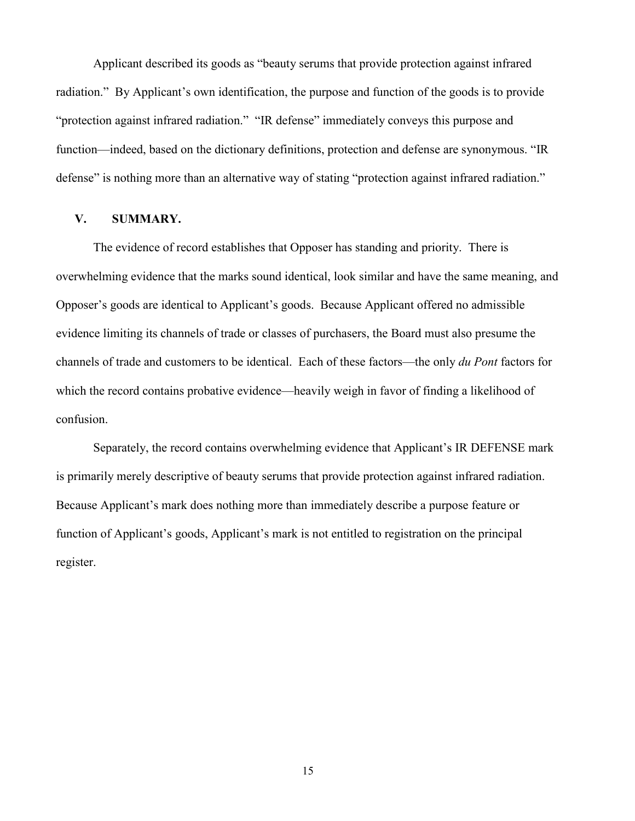Applicant described its goods as "beauty serums that provide protection against infrared radiation." By Applicant's own identification, the purpose and function of the goods is to provide "protection against infrared radiation." "IR defense" immediately conveys this purpose and function—indeed, based on the dictionary definitions, protection and defense are synonymous. "IR defense" is nothing more than an alternative way of stating "protection against infrared radiation."

### **V. SUMMARY.**

The evidence of record establishes that Opposer has standing and priority. There is overwhelming evidence that the marks sound identical, look similar and have the same meaning, and Opposer's goods are identical to Applicant's goods. Because Applicant offered no admissible evidence limiting its channels of trade or classes of purchasers, the Board must also presume the channels of trade and customers to be identical. Each of these factors—the only *du Pont* factors for which the record contains probative evidence—heavily weigh in favor of finding a likelihood of confusion.

Separately, the record contains overwhelming evidence that Applicant's IR DEFENSE mark is primarily merely descriptive of beauty serums that provide protection against infrared radiation. Because Applicant's mark does nothing more than immediately describe a purpose feature or function of Applicant's goods, Applicant's mark is not entitled to registration on the principal register.